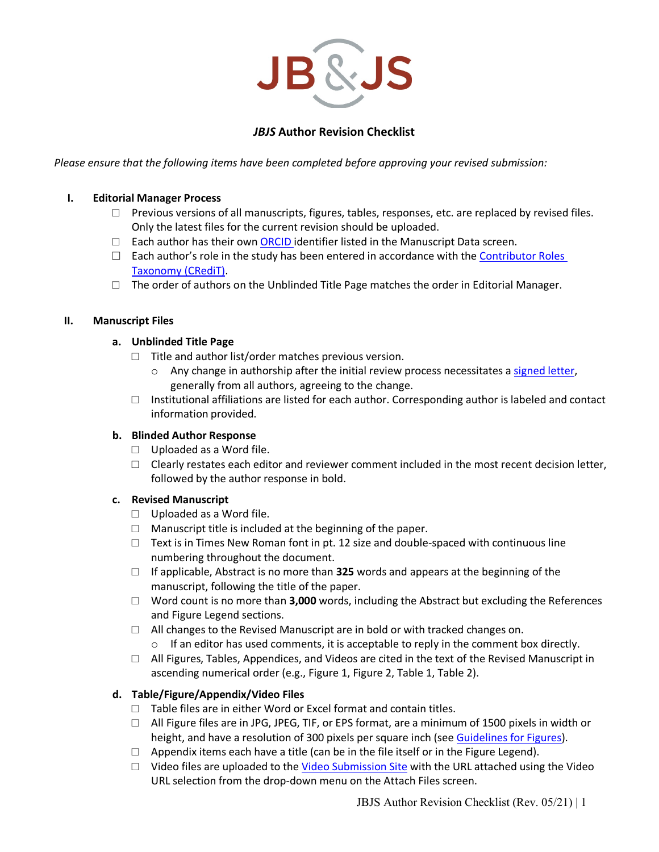

# *JBJS* **Author Revision Checklist**

*Please ensure that the following items have been completed before approving your revised submission:*

#### **I. Editorial Manager Process**

- $\Box$  Previous versions of all manuscripts, figures, tables, responses, etc. are replaced by revised files. Only the latest files for the current revision should be uploaded.
- $\Box$  Each author has their own [ORCID id](http://orcid.org/)entifier listed in the Manuscript Data screen.
- $\square$  Each author's role in the study has been entered in accordance with the Contributor Roles [Taxonomy \(CRediT\).](https://casrai.org/credit/)
- $\Box$  The order of authors on the Unblinded Title Page matches the order in Editorial Manager.

#### **II. Manuscript Files**

### **a. Unblinded Title Page**

- $\Box$  Title and author list/order matches previous version.
	- $\circ$  Any change in authorship after the initial review process necessitates [a signed letter,](http://sites.jbjs.org/misc/authorship_change_letter.html) generally from all authors, agreeing to the change.
- $\Box$  Institutional affiliations are listed for each author. Corresponding author is labeled and contact information provided.

### **b. Blinded Author Response**

- $\Box$  Uploaded as a Word file.
- $\Box$  Clearly restates each editor and reviewer comment included in the most recent decision letter, followed by the author response in bold.

### **c. Revised Manuscript**

- $\Box$  Uploaded as a Word file.
- $\Box$  Manuscript title is included at the beginning of the paper.
- $\Box$  Text is in Times New Roman font in pt. 12 size and double-spaced with continuous line numbering throughout the document.
- □ If applicable, Abstract is no more than **325** words and appears at the beginning of the manuscript, following the title of the paper.
- □ Word count is no more than **3,000** words, including the Abstract but excluding the References and Figure Legend sections.
- $\Box$  All changes to the Revised Manuscript are in bold or with tracked changes on.
	- $\circ$  If an editor has used comments, it is acceptable to reply in the comment box directly.
- $\Box$  All Figures, Tables, Appendices, and Videos are cited in the text of the Revised Manuscript in ascending numerical order (e.g., Figure 1, Figure 2, Table 1, Table 2).

### **d. Table/Figure/Appendix/Video Files**

- $\Box$  Table files are in either Word or Excel format and contain titles.
- $\Box$  All Figure files are in JPG, JPEG, TIF, or EPS format, are a minimum of 1500 pixels in width or height, and have a resolution of 300 pixels per square inch (see [Guidelines for Figures\)](http://journals.lww.com/jbjsjournal/Pages/Journals-Guidelines-for-Figures.aspx).
- $\Box$  Appendix items each have a title (can be in the file itself or in the Figure Legend).
- $\Box$  Video files are uploaded to the [Video Submission Site](http://video-submissions.jbjs.org/) with the URL attached using the Video URL selection from the drop-down menu on the Attach Files screen.